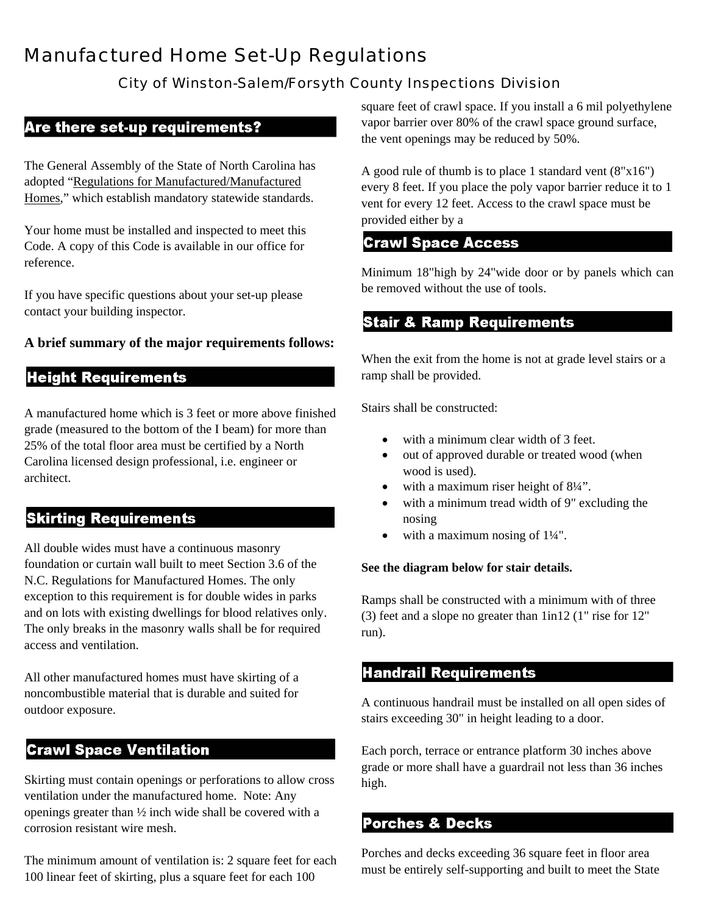# Manufactured Home Set-Up Regulations

## City of Winston-Salem/Forsyth County Inspections Division

## Are there set-up requirements?

The General Assembly of the State of North Carolina has adopted "Regulations for Manufactured/Manufactured Homes," which establish mandatory statewide standards.

Your home must be installed and inspected to meet this Code. A copy of this Code is available in our office for reference.

If you have specific questions about your set-up please contact your building inspector.

#### **A brief summary of the major requirements follows:**

## **Height Requirements**

A manufactured home which is 3 feet or more above finished grade (measured to the bottom of the I beam) for more than 25% of the total floor area must be certified by a North Carolina licensed design professional, i.e. engineer or architect.

## **Skirting Requirements**

All double wides must have a continuous masonry foundation or curtain wall built to meet Section 3.6 of the N.C. Regulations for Manufactured Homes. The only exception to this requirement is for double wides in parks and on lots with existing dwellings for blood relatives only. The only breaks in the masonry walls shall be for required access and ventilation.

All other manufactured homes must have skirting of a noncombustible material that is durable and suited for outdoor exposure.

### **Crawl Space Ventilation**

Skirting must contain openings or perforations to allow cross ventilation under the manufactured home. Note: Any openings greater than ½ inch wide shall be covered with a corrosion resistant wire mesh.

The minimum amount of ventilation is: 2 square feet for each 100 linear feet of skirting, plus a square feet for each 100

square feet of crawl space. If you install a 6 mil polyethylene vapor barrier over 80% of the crawl space ground surface, the vent openings may be reduced by 50%.

A good rule of thumb is to place 1 standard vent  $(8"x16")$ every 8 feet. If you place the poly vapor barrier reduce it to 1 vent for every 12 feet. Access to the crawl space must be provided either by a

## **Crawl Space Access**

Minimum 18"high by 24"wide door or by panels which can be removed without the use of tools.

## **Stair & Ramp Requirements**

When the exit from the home is not at grade level stairs or a ramp shall be provided.

Stairs shall be constructed:

- with a minimum clear width of 3 feet.
- out of approved durable or treated wood (when wood is used).
- with a maximum riser height of  $8\frac{1}{4}$ ".
- with a minimum tread width of 9" excluding the nosing
- with a maximum nosing of  $1\frac{1}{4}$ ".

#### **See the diagram below for stair details.**

Ramps shall be constructed with a minimum with of three (3) feet and a slope no greater than 1in12 (1" rise for 12" run).

#### **Handrail Requirements**

A continuous handrail must be installed on all open sides of stairs exceeding 30" in height leading to a door.

Each porch, terrace or entrance platform 30 inches above grade or more shall have a guardrail not less than 36 inches high.

### **Porches & Decks**

Porches and decks exceeding 36 square feet in floor area must be entirely self-supporting and built to meet the State